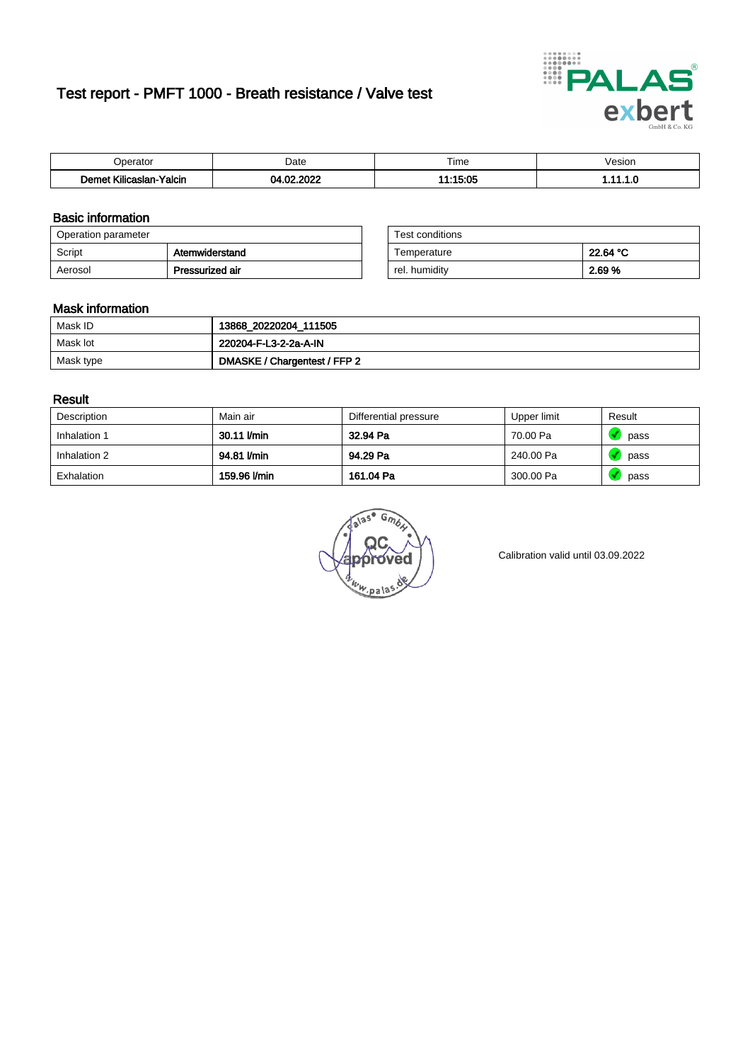# Test report - PMFT 1000 - Breath resistance / Valve test



| maxima                       | Date              | $- \cdot$<br>Time<br>. | esion<br>. |
|------------------------------|-------------------|------------------------|------------|
| .<br>Yalcin<br>ıslan<br>ulic | .000 <sub>0</sub> | המי:                   | .          |

### Basic information

| Operation parameter |                 | Test conditions |          |
|---------------------|-----------------|-----------------|----------|
| Script              | Atemwiderstand  | Temperature     | 22.64 °C |
| Aerosol             | Pressurized air | rel. humidity   | 2.69 %   |

| Test conditions |          |
|-----------------|----------|
| Temperature     | 22.64 °C |
| rel. humidity   | 2.69%    |

#### Mask information

| Mask ID   | 13868_20220204_111505        |
|-----------|------------------------------|
| Mask lot  | 220204-F-L3-2-2a-A-IN        |
| Mask type | DMASKE / Chargentest / FFP 2 |

### Result

| Description  | Main air     | Differential pressure | Upper limit | Result |
|--------------|--------------|-----------------------|-------------|--------|
| Inhalation 1 | 30.11 l/min  | 32.94 Pa              | 70.00 Pa    | pass   |
| Inhalation 2 | 94.81 I/min  | 94.29 Pa              | 240.00 Pa   | pass   |
| Exhalation   | 159.96 l/min | 161.04 Pa             | 300.00 Pa   | pass   |

 $u_{\mu,pal}$ 

Calibration valid until 03.09.2022